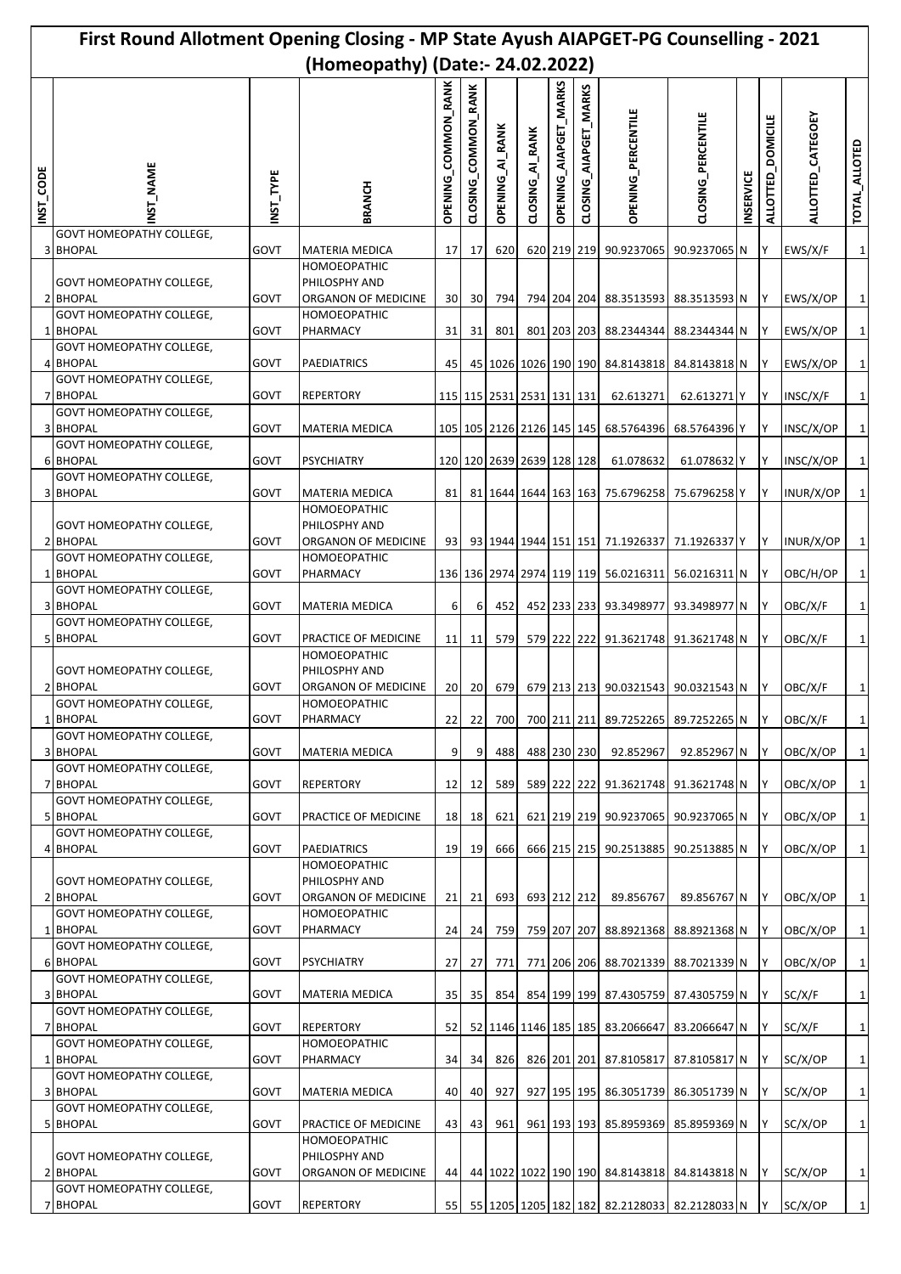| First Round Allotment Opening Closing - MP State Ayush AIAPGET-PG Counselling - 2021 |                                                    |              |                                                             |                            |                               |                        |                           |                              |                       |                                                           |                           |                  |                   |                      |                              |
|--------------------------------------------------------------------------------------|----------------------------------------------------|--------------|-------------------------------------------------------------|----------------------------|-------------------------------|------------------------|---------------------------|------------------------------|-----------------------|-----------------------------------------------------------|---------------------------|------------------|-------------------|----------------------|------------------------------|
| (Homeopathy) (Date:- 24.02.2022)                                                     |                                                    |              |                                                             |                            |                               |                        |                           |                              |                       |                                                           |                           |                  |                   |                      |                              |
| <b>INST_CODE</b>                                                                     | ST NAME                                            | NST_TYPE     | BRANCH                                                      | <b>OPENING_COMMON_RANK</b> | <b>RANK</b><br>CLOSING_COMMON | <b>OPENING_AI_RANK</b> | CLOSING_AI_RANK           | <b>OPENING_AIAPGET_MARKS</b> | CLOSING_AIAPGET_MARKS | OPENING_PERCENTILE                                        | <b>CLOSING_PERCENTILE</b> | <b>INSERVICE</b> | ALLOTTED_DOMICILE | ALLOTTED_CATEGOEY    | TOTAL_ALLOTED                |
|                                                                                      | <b>GOVT HOMEOPATHY COLLEGE,</b><br>3 BHOPAL        | GOVT         | <b>MATERIA MEDICA</b>                                       | 17                         | 17                            | 620                    |                           |                              |                       | 620 219 219 90.9237065                                    | 90.9237065 N              |                  | IY                | EWS/X/F              | $\mathbf{1}$                 |
|                                                                                      | GOVT HOMEOPATHY COLLEGE,<br>2 BHOPAL               | GOVT         | <b>HOMOEOPATHIC</b><br>PHILOSPHY AND<br>ORGANON OF MEDICINE | 30                         | 30                            | 794                    |                           |                              |                       | 794 204 204 88.3513593 88.3513593 N Y                     |                           |                  |                   | EWS/X/OP             | $\mathbf 1$                  |
|                                                                                      | GOVT HOMEOPATHY COLLEGE,<br>1 BHOPAL               | GOVT         | <b>HOMOEOPATHIC</b><br>PHARMACY                             | 31                         | 31                            | 801                    |                           |                              |                       | 801 203 203 88.2344344                                    | 88.2344344 N              |                  | IY.               | EWS/X/OP             | $\mathbf{1}$                 |
|                                                                                      | GOVT HOMEOPATHY COLLEGE,                           |              |                                                             |                            |                               |                        |                           |                              |                       |                                                           |                           |                  |                   |                      |                              |
|                                                                                      | 4 BHOPAL<br>GOVT HOMEOPATHY COLLEGE,<br>7 BHOPAL   | GOVT<br>GOVT | <b>PAEDIATRICS</b><br><b>REPERTORY</b>                      | 45                         |                               |                        | 115 115 2531 2531 131 131 |                              |                       | 45 1026 1026 190 190 84.8143818 84.8143818 N<br>62.613271 | 62.613271 Y               |                  | 1Y<br>IΥ          | EWS/X/OP<br>INSC/X/F | $\mathbf 1$<br>$\mathbf 1$   |
|                                                                                      | <b>GOVT HOMEOPATHY COLLEGE,</b>                    |              |                                                             |                            |                               |                        |                           |                              |                       |                                                           |                           |                  |                   |                      |                              |
|                                                                                      | <b>3 BHOPAL</b><br>GOVT HOMEOPATHY COLLEGE,        | GOVT         | <b>MATERIA MEDICA</b>                                       |                            |                               |                        |                           |                              |                       | 105 105 2126 2126 145 145 68.5764396                      | 68.5764396 Y              |                  | IY                | INSC/X/OP            | $\mathbf 1$                  |
|                                                                                      | <b>6 BHOPAL</b><br>GOVT HOMEOPATHY COLLEGE,        | GOVT         | <b>PSYCHIATRY</b>                                           |                            |                               |                        | 120 120 2639 2639 128 128 |                              |                       | 61.078632                                                 | 61.078632 Y               |                  | I٢                | INSC/X/OP            | $\mathbf{1}$                 |
|                                                                                      | 3 BHOPAL                                           | GOVT         | <b>MATERIA MEDICA</b>                                       | 81                         |                               |                        |                           |                              |                       | 81 1644 1644 163 163 75.6796258 75.6796258 Y              |                           |                  | IY.               | INUR/X/OP            | $\mathbf 1$                  |
|                                                                                      | <b>GOVT HOMEOPATHY COLLEGE,</b><br>2 BHOPAL        | GOVT         | HOMOEOPATHIC<br>PHILOSPHY AND<br>ORGANON OF MEDICINE        | 93                         |                               |                        |                           |                              |                       | 93 1944 1944 151 151 71.1926337                           | 71.1926337 Y              |                  | ΙY                | INUR/X/OP            | $\mathbf{1}$                 |
|                                                                                      | GOVT HOMEOPATHY COLLEGE,                           |              | HOMOEOPATHIC                                                |                            |                               |                        |                           |                              |                       |                                                           |                           |                  |                   |                      |                              |
|                                                                                      | <b>BHOPAL</b><br><b>GOVT HOMEOPATHY COLLEGE,</b>   | GOVT         | PHARMACY                                                    |                            |                               |                        |                           |                              |                       | 136 136 2974 2974 119 119 56.0216311 56.0216311 N         |                           |                  | 1Y                | OBC/H/OP             | $\mathbf 1$                  |
|                                                                                      | 3 BHOPAL                                           | GOVT         | <b>MATERIA MEDICA</b>                                       | 6                          | 6                             | 452                    |                           |                              |                       | 452 233 233 93.3498977                                    | 93.3498977 N              |                  | ΙY                | OBC/X/F              | $\mathbf{1}$                 |
|                                                                                      | <b>GOVT HOMEOPATHY COLLEGE,</b><br>5 BHOPAL        | GOVT         | PRACTICE OF MEDICINE                                        | 11                         | 11                            | 579                    |                           |                              |                       | 579 222 222 91.3621748 91.3621748 N                       |                           |                  | IY.               | OBC/X/F              | $\mathbf 1$                  |
|                                                                                      | <b>GOVT HOMEOPATHY COLLEGE,</b><br>2 BHOPAL        | GOVT         | <b>HOMOEOPATHIC</b><br>PHILOSPHY AND<br>ORGANON OF MEDICINE |                            |                               |                        |                           |                              |                       | 679 213 213 90.0321543 90.0321543 N                       |                           |                  |                   |                      |                              |
|                                                                                      | <b>GOVT HOMEOPATHY COLLEGE,</b><br>1 BHOPAL        | GOVT         | HOMOEOPATHIC<br>PHARMACY                                    | 20<br>22                   | <b>20</b><br>22               | 679<br>700             |                           |                              |                       | 700 211 211 89.7252265 89.7252265 N                       |                           |                  | IY.<br>1Y         | OBC/X/F<br>OBC/X/F   | $\mathbf{1}$<br>$\mathbf{1}$ |
|                                                                                      | GOVT HOMEOPATHY COLLEGE,<br>3 BHOPAL               | GOVT         | MATERIA MEDICA                                              | 9                          | 9                             | 488                    |                           | 488 230 230                  |                       | 92.852967                                                 | 92.852967 N Y             |                  |                   | OBC/X/OP             | $\mathbf{1}$                 |
|                                                                                      | <b>GOVT HOMEOPATHY COLLEGE,</b><br>7 BHOPAL        | GOVT         | <b>REPERTORY</b>                                            | 12                         | 12                            | 589                    |                           |                              |                       | 589 222 222 91.3621748 91.3621748 N                       |                           |                  | <b>IY</b>         | OBC/X/OP             | $\mathbf 1$                  |
|                                                                                      | GOVT HOMEOPATHY COLLEGE,<br>5 BHOPAL               | GOVT         | PRACTICE OF MEDICINE                                        | 18                         | 18                            | 621                    |                           |                              |                       | 621 219 219 90.9237065 90.9237065 N Y                     |                           |                  |                   | OBC/X/OP             | $\mathbf 1$                  |
|                                                                                      | <b>GOVT HOMEOPATHY COLLEGE,</b><br>4 BHOPAL        | GOVT         | <b>PAEDIATRICS</b>                                          | 19                         | 19                            | 666                    |                           |                              |                       | 666 215 215 90.2513885                                    |                           |                  | ΙY                |                      | $\mathbf 1$                  |
|                                                                                      | <b>GOVT HOMEOPATHY COLLEGE,</b>                    |              | <b>HOMOEOPATHIC</b><br>PHILOSPHY AND                        |                            |                               |                        |                           |                              |                       |                                                           | 90.2513885 N              |                  |                   | OBC/X/OP             |                              |
|                                                                                      | 2 BHOPAL<br>GOVT HOMEOPATHY COLLEGE,               | GOVT         | ORGANON OF MEDICINE<br>HOMOEOPATHIC                         | 21                         | 21                            | 693                    |                           | 693 212 212                  |                       | 89.856767                                                 | 89.856767 N Y             |                  |                   | OBC/X/OP             | $\mathbf 1$                  |
|                                                                                      | 1 BHOPAL                                           | GOVT         | PHARMACY                                                    | 24                         | 24                            | 759                    |                           |                              |                       | 759 207 207 88.8921368                                    | 88.8921368 N              |                  | 1Y                | OBC/X/OP             | $\mathbf 1$                  |
|                                                                                      | <b>GOVT HOMEOPATHY COLLEGE,</b><br><b>6 BHOPAL</b> | GOVT         | <b>PSYCHIATRY</b>                                           | 27 <sup>1</sup>            | 27                            | 771                    |                           |                              |                       | 771 206 206 88.7021339 88.7021339 N Y                     |                           |                  |                   | OBC/X/OP             | $\mathbf{1}$                 |
|                                                                                      | GOVT HOMEOPATHY COLLEGE,<br>3 BHOPAL               | GOVT         | MATERIA MEDICA                                              | 35                         | 35                            | 854                    |                           |                              |                       | 854 199 199 87.4305759 87.4305759 N                       |                           |                  | IY                | SC/X/F               | $\mathbf{1}$                 |
|                                                                                      | <b>GOVT HOMEOPATHY COLLEGE,</b><br>7 BHOPAL        | GOVT         | <b>REPERTORY</b>                                            | 52                         |                               |                        |                           |                              |                       | 52 1146 1146 185 185 83.2066647                           | 83.2066647 N              |                  | IY.               | SC/X/F               | $\mathbf 1$                  |
|                                                                                      | GOVT HOMEOPATHY COLLEGE,<br>1 BHOPAL               | GOVT         | HOMOEOPATHIC<br>PHARMACY                                    | 34                         | 34                            | 826                    |                           |                              |                       | 826 201 201 87.8105817                                    | 87.8105817 N              |                  | <b>IY</b>         | SC/X/OP              | $\mathbf{1}$                 |
|                                                                                      | GOVT HOMEOPATHY COLLEGE,<br>3 BHOPAL               | GOVT         | <b>MATERIA MEDICA</b>                                       | 40                         | 40                            | 927                    |                           |                              |                       | 927 195 195 86.3051739                                    | 86.3051739 N              |                  | IY.               | SC/X/OP              | $\mathbf{1}$                 |
|                                                                                      | GOVT HOMEOPATHY COLLEGE,<br>5 BHOPAL               | GOVT         | PRACTICE OF MEDICINE                                        | 43                         | 43                            | 961                    |                           |                              |                       | 961 193 193 85.8959369 85.8959369 N Y                     |                           |                  |                   | SC/X/OP              | $\mathbf 1$                  |
|                                                                                      | GOVT HOMEOPATHY COLLEGE,                           |              | HOMOEOPATHIC<br>PHILOSPHY AND                               |                            |                               |                        |                           |                              |                       |                                                           |                           |                  |                   |                      |                              |
|                                                                                      | 2 BHOPAL<br>GOVT HOMEOPATHY COLLEGE,               | GOVT         | ORGANON OF MEDICINE                                         | 44                         |                               |                        |                           |                              |                       | 44 1022 1022 190 190 84.8143818 84.8143818 N Y            |                           |                  |                   | SC/X/OP              | $\mathbf 1$                  |
|                                                                                      | 7 BHOPAL                                           | GOVT         | <b>REPERTORY</b>                                            | 55                         |                               |                        |                           |                              |                       | 55 1205 1205 182 182 82.2128033 82.2128033 N              |                           |                  | <b>IY</b>         | SC/X/OP              | $\mathbf 1$                  |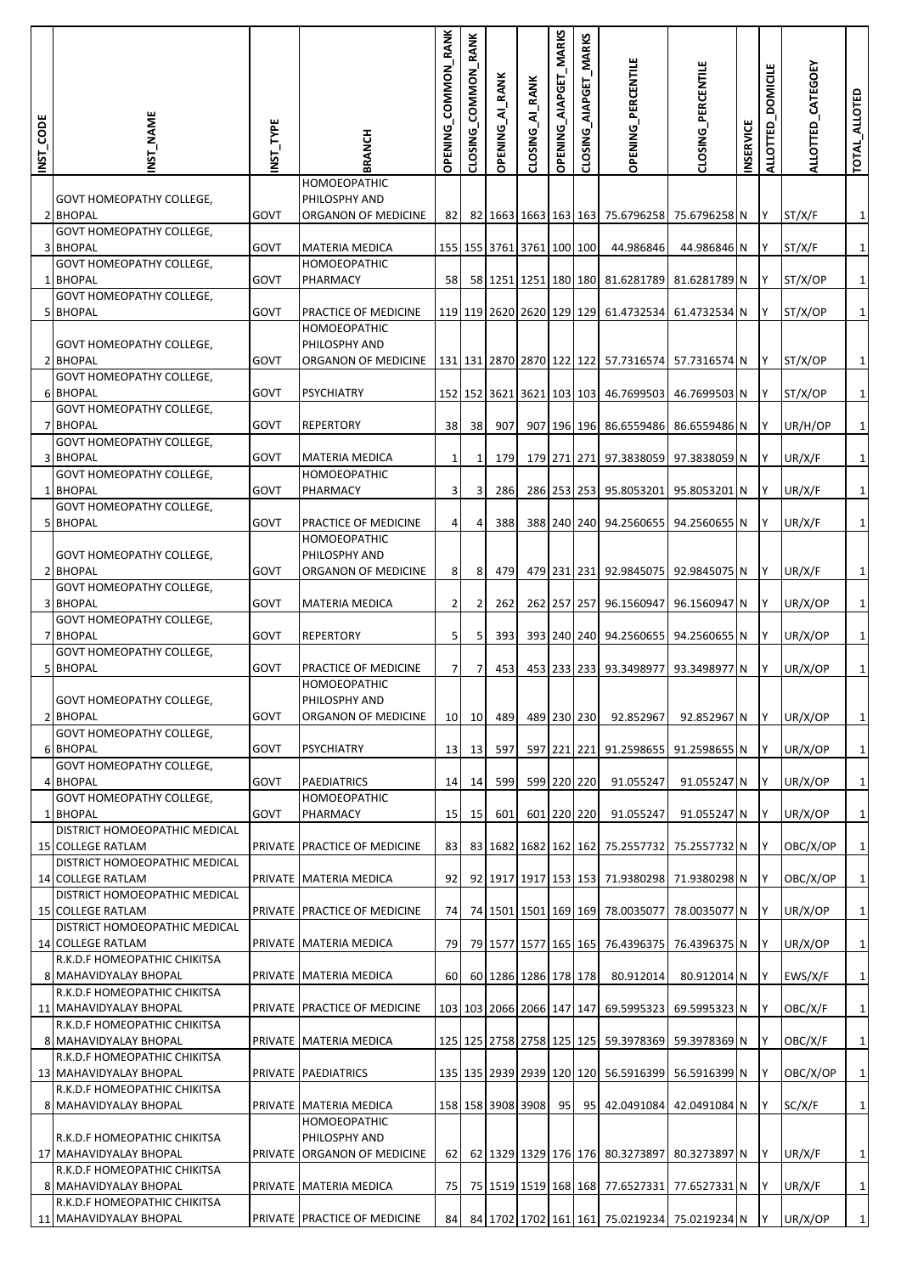| INST_CODE | <b>NST_NAME</b>                                                                        | INST_TYPE   | <b>BRANCH</b>                                                | OPENING_COMMON_RANK | CLOSING_COMMON_RANK | <b>OPENING_AI_RANK</b> | CLOSING_AI_RANK           | OPENING_AIAPGET_MARKS | CLOSING_AIAPGET_MARKS | <b>OPENING_PERCENTILE</b>                           | <b>CLOSING_PERCENTILE</b>    | <b>INSERVICE</b> | ALLOTTED_DOMICILE | ALLOTTED_CATEGOEY | TOTAL_ALLOTED        |
|-----------|----------------------------------------------------------------------------------------|-------------|--------------------------------------------------------------|---------------------|---------------------|------------------------|---------------------------|-----------------------|-----------------------|-----------------------------------------------------|------------------------------|------------------|-------------------|-------------------|----------------------|
|           | <b>GOVT HOMEOPATHY COLLEGE,</b><br>2 BHOPAL                                            | <b>GOVT</b> | HOMOEOPATHIC<br>PHILOSPHY AND<br>ORGANON OF MEDICINE         | 82                  |                     |                        |                           |                       |                       | 82 1663 1663 163 163 75.6796258                     | 75.6796258 N                 |                  | <b>IY</b>         | ST/X/F            | $\mathbf{1}$         |
|           | GOVT HOMEOPATHY COLLEGE,<br><b>3 BHOPAL</b>                                            | <b>GOVT</b> | <b>MATERIA MEDICA</b>                                        |                     |                     |                        | 155 155 3761 3761 100 100 |                       |                       | 44.986846                                           | 44.986846 N                  |                  | <b>IY</b>         | ST/X/F            | $1\vert$             |
|           | GOVT HOMEOPATHY COLLEGE,<br>1 BHOPAL                                                   | <b>GOVT</b> | <b>HOMOEOPATHIC</b><br>PHARMACY                              | 58                  |                     |                        |                           |                       |                       | 58 1251 1251 180 180 81.6281789                     | 81.6281789 N                 |                  | IY.               | ST/X/OP           | $1\vert$             |
|           | GOVT HOMEOPATHY COLLEGE,<br>5 BHOPAL                                                   | <b>GOVT</b> | PRACTICE OF MEDICINE                                         |                     |                     |                        |                           |                       |                       | 119 119 2620 2620 129 129 61.4732534 61.4732534 N Y |                              |                  |                   | ST/X/OP           | $1\overline{)}$      |
|           |                                                                                        |             | <b>HOMOEOPATHIC</b>                                          |                     |                     |                        |                           |                       |                       |                                                     |                              |                  |                   |                   |                      |
|           | <b>GOVT HOMEOPATHY COLLEGE,</b><br>2 BHOPAL                                            | <b>GOVT</b> | PHILOSPHY AND<br>ORGANON OF MEDICINE                         |                     |                     |                        |                           |                       |                       | 131 131 2870 2870 122 122 57.7316574 57.7316574 N   |                              |                  | <b>IY</b>         | ST/X/OP           | $\mathbf{1}$         |
|           | <b>GOVT HOMEOPATHY COLLEGE,</b><br><b>6 BHOPAL</b>                                     | <b>GOVT</b> | <b>PSYCHIATRY</b>                                            |                     |                     |                        |                           |                       |                       | 152 152 3621 3621 103 103 46.7699503                | 46.7699503 N                 |                  | <b>IY</b>         | ST/X/OP           | $1\vert$             |
|           | GOVT HOMEOPATHY COLLEGE,<br>7 BHOPAL                                                   | <b>GOVT</b> | <b>REPERTORY</b>                                             | 38                  | 38                  | 907                    |                           |                       |                       | 907 196 196 86.6559486                              | 86.6559486 N                 |                  | IY.               | UR/H/OP           | $1\vert$             |
|           | GOVT HOMEOPATHY COLLEGE,<br>3 BHOPAL                                                   | <b>GOVT</b> | <b>MATERIA MEDICA</b>                                        | $\mathbf{1}$        | 1                   | 179                    |                           |                       |                       | 179 271 271 97.3838059 97.3838059 N                 |                              |                  | <b>IY</b>         | UR/X/F            | $1\vert$             |
|           | GOVT HOMEOPATHY COLLEGE,<br>1 BHOPAL                                                   | <b>GOVT</b> | <b>HOMOEOPATHIC</b><br>PHARMACY                              | 3                   | 3                   | 286                    |                           |                       |                       | 286 253 253 95.8053201                              | 95.8053201 N                 |                  | <b>IY</b>         | UR/X/F            | $\mathbf{1}$         |
|           | GOVT HOMEOPATHY COLLEGE,<br>5 BHOPAL                                                   | GOVT        | PRACTICE OF MEDICINE                                         |                     |                     |                        |                           |                       |                       |                                                     |                              |                  |                   |                   |                      |
|           | <b>GOVT HOMEOPATHY COLLEGE,</b><br>2 BHOPAL                                            | <b>GOVT</b> | <b>HOMOEOPATHIC</b><br>PHILOSPHY AND<br>ORGANON OF MEDICINE  | $\overline{4}$<br>8 | 4<br>8              | 388<br>479             |                           |                       |                       | 388 240 240 94.2560655<br>479 231 231 92.9845075    | 94.2560655 N<br>92.9845075 N |                  | IY.<br>IY         | UR/X/F<br>UR/X/F  | $1\vert$<br>$1\vert$ |
|           | <b>GOVT HOMEOPATHY COLLEGE,</b><br>3 BHOPAL                                            | <b>GOVT</b> | <b>MATERIA MEDICA</b>                                        | $\overline{2}$      | 2                   | 262                    |                           |                       |                       | 262 257 257 96.1560947                              | 96.1560947 N                 |                  | <b>IY</b>         | UR/X/OP           | $1\vert$             |
|           | <b>GOVT HOMEOPATHY COLLEGE,</b><br>7 BHOPAL                                            | GOVT        | <b>REPERTORY</b>                                             | 5                   | 5                   | 393                    |                           |                       |                       | 393 240 240 94.2560655                              | 94.2560655 N                 |                  | IY                | UR/X/OP           | $\mathbf{1}$         |
|           | GOVT HOMEOPATHY COLLEGE,<br><b>BHOPAL</b>                                              | GOVT        | PRACTICE OF MEDICINE                                         | 7                   | 7                   | 453                    |                           |                       |                       | 453 233 233 93.3498977                              | 93.3498977 N                 |                  | IY.               | UR/X/OP           | $1\vert$             |
|           | <b>GOVT HOMEOPATHY COLLEGE,</b><br>2 BHOPAL                                            | GOVT        | <b>HOMOEOPATHIC</b><br>PHILOSPHY AND<br>ORGANON OF MEDICINE  | 10                  | 10                  | 489                    |                           | 489 230 230           |                       | 92.852967                                           | 92.852967 N                  |                  | <b>IY</b>         | UR/X/OP           | $1\vert$             |
|           | GOVT HOMEOPATHY COLLEGE,                                                               |             |                                                              |                     |                     |                        |                           |                       |                       |                                                     |                              |                  |                   |                   |                      |
|           | 6 BHOPAL<br>GOVT HOMEOPATHY COLLEGE,                                                   | <b>GOVT</b> | <b>PSYCHIATRY</b>                                            | 13                  | 13                  | 597                    |                           | 597 221 221           |                       | 91.2598655                                          | 91.2598655 N                 |                  | <b>IY</b>         | UR/X/OP           | $1\vert$             |
|           | 4 BHOPAL<br><b>GOVT HOMEOPATHY COLLEGE,</b>                                            | <b>GOVT</b> | <b>PAEDIATRICS</b><br><b>HOMOEOPATHIC</b>                    | 14                  | 14                  | 599                    |                           | 599 220 220           |                       | 91.055247                                           | 91.055247 N                  |                  | 1Y                | UR/X/OP           | $1\vert$             |
|           | 1 BHOPAL<br>DISTRICT HOMOEOPATHIC MEDICAL                                              | <b>GOVT</b> | PHARMACY                                                     | 15                  | 15                  | 601                    |                           | 601 220 220           |                       | 91.055247                                           | 91.055247 N                  |                  | IY.               | UR/X/OP           | $1\vert$             |
|           | <b>15 COLLEGE RATLAM</b><br>DISTRICT HOMOEOPATHIC MEDICAL                              |             | PRIVATE PRACTICE OF MEDICINE                                 | 83                  |                     |                        |                           |                       |                       | 83 1682 1682 162 162 75.2557732                     | 75.2557732 N Y               |                  |                   | OBC/X/OP          | $1\vert$             |
|           | 14 COLLEGE RATLAM<br>DISTRICT HOMOEOPATHIC MEDICAL                                     |             | PRIVATE MATERIA MEDICA                                       | 92                  |                     |                        |                           |                       |                       | 92 1917 1917 153 153 71.9380298                     | 71.9380298 N                 |                  | IY                | OBC/X/OP          | $1\vert$             |
|           | <b>15 COLLEGE RATLAM</b><br>DISTRICT HOMOEOPATHIC MEDICAL                              |             | PRIVATE PRACTICE OF MEDICINE                                 | 74                  |                     |                        |                           |                       |                       | 74 1501 1501 169 169 78.0035077                     | 78.0035077 N                 |                  | <b>IY</b>         | UR/X/OP           | $1\vert$             |
|           | 14 COLLEGE RATLAM                                                                      |             | PRIVATE   MATERIA MEDICA                                     | 79                  |                     |                        | 79 1577 1577 165 165      |                       |                       | 76.4396375                                          | 76.4396375 N                 |                  | IY                | UR/X/OP           | $1\vert$             |
|           | R.K.D.F HOMEOPATHIC CHIKITSA<br>8 MAHAVIDYALAY BHOPAL                                  |             | PRIVATE MATERIA MEDICA                                       | 60                  |                     |                        | 60 1286 1286 178 178      |                       |                       | 80.912014                                           | 80.912014 N                  |                  | <b>IY</b>         | EWS/X/F           | $1\vert$             |
|           | R.K.D.F HOMEOPATHIC CHIKITSA<br>11 MAHAVIDYALAY BHOPAL<br>R.K.D.F HOMEOPATHIC CHIKITSA |             | PRIVATE PRACTICE OF MEDICINE                                 |                     |                     |                        |                           |                       |                       | 103 103 2066 2066 147 147 69.5995323                | 69.5995323 N                 |                  | 1Y                | OBC/X/F           | $1\vert$             |
|           | 8 MAHAVIDYALAY BHOPAL                                                                  |             | PRIVATE MATERIA MEDICA                                       |                     |                     |                        |                           |                       |                       | 125 125 2758 2758 125 125 59.3978369                | 59.3978369 N                 |                  | <b>IY</b>         | OBC/X/F           | $1\vert$             |
|           | R.K.D.F HOMEOPATHIC CHIKITSA<br>13 MAHAVIDYALAY BHOPAL                                 |             | PRIVATE PAEDIATRICS                                          |                     |                     |                        |                           |                       |                       | 135 135 2939 2939 120 120 56.5916399                | 56.5916399 N                 |                  | <b>IY</b>         | OBC/X/OP          | $\mathbf{1}$         |
|           | R.K.D.F HOMEOPATHIC CHIKITSA<br>8 MAHAVIDYALAY BHOPAL                                  |             | PRIVATE MATERIA MEDICA                                       |                     |                     |                        | 158 158 3908 3908         |                       |                       | 95 95 42.0491084                                    | 42.0491084 N                 |                  | IY.               | SC/X/F            | $1\vert$             |
|           | R.K.D.F HOMEOPATHIC CHIKITSA<br>17 MAHAVIDYALAY BHOPAL                                 |             | HOMOEOPATHIC<br>PHILOSPHY AND<br>PRIVATE ORGANON OF MEDICINE | 62                  |                     |                        |                           |                       |                       | 62 1329 1329 176 176 80.3273897                     | 80.3273897 N                 |                  | <b>IY</b>         | UR/X/F            | $\vert$ 1            |
|           | R.K.D.F HOMEOPATHIC CHIKITSA<br>8 MAHAVIDYALAY BHOPAL                                  |             | PRIVATE MATERIA MEDICA                                       | 75                  |                     |                        |                           |                       |                       | 75 1519 1519 168 168 77.6527331                     | 77.6527331 N                 |                  | IY.               | UR/X/F            | $1\vert$             |
|           | R.K.D.F HOMEOPATHIC CHIKITSA<br>11 MAHAVIDYALAY BHOPAL                                 |             | PRIVATE PRACTICE OF MEDICINE                                 | 84                  |                     |                        |                           |                       |                       | 84 1702 1702 161 161 75.0219234 75.0219234 N Y      |                              |                  |                   | UR/X/OP           | $1\vert$             |